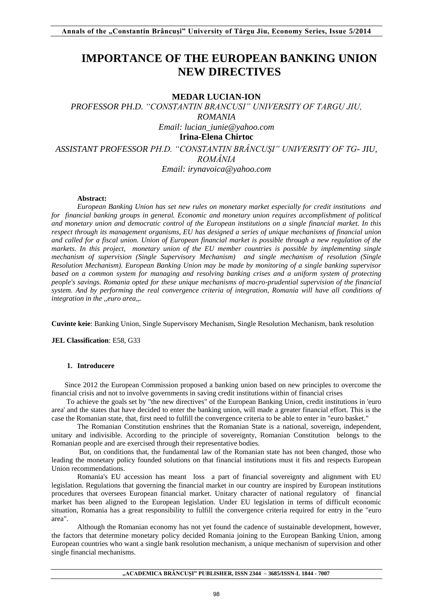# **IMPORTANCE OF THE EUROPEAN BANKING UNION NEW DIRECTIVES**

# **MEDAR LUCIAN-ION**

*PROFESSOR PH.D. "CONSTANTIN BRANCUSI" UNIVERSITY OF TARGU JIU, ROMANIA Email: [lucian\\_iunie@yahoo.com](mailto:lucian_iunie@yahoo.com)* **Irina-Elena Chirtoc**  *ASSISTANT PROFESSOR PH.D. "CONSTANTIN BRÂNCUŞI" UNIVERSITY OF TG- JIU, ROMÂNIA Email: [irynavoica@yahoo.com](mailto:irynavoica@yahoo.com)*

#### **Abstract:**

*European Banking Union has set new rules on monetary market especially for credit institutions and for financial banking groups in general. Economic and monetary union requires accomplishment of political and monetary union and democratic control of the European institutions on a single financial market. In this respect through its management organisms, EU has designed a series of unique mechanisms of financial union and called for a fiscal union. Union of European financial market is possible through a new regulation of the markets. In this project, monetary union of the EU member countries is possible by implementing single mechanism of supervision (Single Supervisory Mechanism) and single mechanism of resolution (Single Resolution Mechanism). European Banking Union may be made by monitoring of a single banking supervisor based on a common system for managing and resolving banking crises and a uniform system of protecting people's savings. Romania opted for these unique mechanisms of macro-prudential supervision of the financial system. And by performing the real convergence criteria of integration, Romania will have all conditions of integration in the ,,euro area,,.* 

**Cuvinte keie**: Banking Union, Single Supervisory Mechanism, Single Resolution Mechanism, bank resolution

**JEL Classification**: E58, G33

## **1. Introducere**

Since 2012 the European Commission proposed a banking union based on new principles to overcome the financial crisis and not to involve governments in saving credit institutions within of financial crises

 To achieve the goals set by "the new directives" of the European Banking Union, credit institutions in 'euro area' and the states that have decided to enter the banking union, will made a greater financial effort. This is the case the Romanian state, that, first need to fulfill the convergence criteria to be able to enter in "euro basket."

The Romanian Constitution enshrines that the Romanian State is a national, sovereign, independent, unitary and indivisible. According to the principle of sovereignty, Romanian Constitution belongs to the Romanian people and are exercised through their representative bodies.

 But, on conditions that, the fundamental law of the Romanian state has not been changed, those who leading the monetary policy founded solutions on that financial institutions must it fits and respects European Union recommendations.

Romania's EU accession has meant loss a part of financial sovereignty and alignment with EU legislation. Regulations that governing the financial market in our country are inspired by European institutions procedures that oversees European financial market. Unitary character of national regulatory of financial market has been aligned to the European legislation. Under EU legislation in terms of difficult economic situation, Romania has a great responsibility to fulfill the convergence criteria required for entry in the "euro area".

Although the Romanian economy has not yet found the cadence of sustainable development, however, the factors that determine monetary policy decided Romania joining to the European Banking Union, among European countries who want a single bank resolution mechanism, a unique mechanism of supervision and other single financial mechanisms.

**"ACADEMICA BRÂNCUŞI" PUBLISHER, ISSN 2344 – 3685/ISSN-L 1844 - 7007**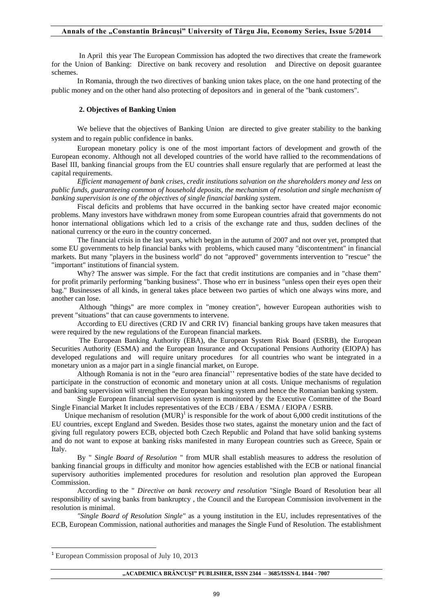### **Annals of the "Constantin Brâncuşi" University of Târgu Jiu, Economy Series, Issue 5/2014**

 In April this year The European Commission has adopted the two directives that create the framework for the Union of Banking: Directive on bank recovery and resolution and Directive on deposit guarantee schemes.

In Romania, through the two directives of banking union takes place, on the one hand protecting of the public money and on the other hand also protecting of depositors and in general of the "bank customers".

#### **2. Objectives of Banking Union**

We believe that the objectives of Banking Union are directed to give greater stability to the banking system and to regain public confidence in banks.

European monetary policy is one of the most important factors of development and growth of the European economy. Although not all developed countries of the world have rallied to the recommendations of Basel III, banking financial groups from the EU countries shall ensure regularly that are performed at least the capital requirements.

*Efficient management of bank crises, credit institutions salvation on the shareholders money and less on public funds, guaranteeing common of household deposits, the mechanism of resolution and single mechanism of banking supervision is one of the objectives of single financial banking system.* 

Fiscal deficits and problems that have occurred in the banking sector have created major economic problems. Many investors have withdrawn money from some European countries afraid that governments do not honor international obligations which led to a crisis of the exchange rate and thus, sudden declines of the national currency or the euro in the country concerned.

The financial crisis in the last years, which began in the autumn of 2007 and not over yet, prompted that some EU governments to help financial banks with problems, which caused many "discontentment" in financial markets. But many "players in the business world" do not "approved" governments intervention to "rescue" the "important" institutions of financial system.

Why? The answer was simple. For the fact that credit institutions are companies and in "chase them" for profit primarily performing "banking business". Those who err in business "unless open their eyes open their bag." Businesses of all kinds, in general takes place between two parties of which one always wins more, and another can lose.

 Although "things" are more complex in "money creation", however European authorities wish to prevent "situations" that can cause governments to intervene.

According to EU directives (CRD IV and CRR IV) financial banking groups have taken measures that were required by the new regulations of the European financial markets.

 The European Banking Authority (EBA), the European System Risk Board (ESRB), the European Securities Authority (ESMA) and the European Insurance and Occupational Pensions Authority (EIOPA) has developed regulations and will require unitary procedures for all countries who want be integrated in a monetary union as a major part in a single financial market, on Europe.

Although Romania is not in the "euro area financial'' representative bodies of the state have decided to participate in the construction of economic and monetary union at all costs. Unique mechanisms of regulation and banking supervision will strengthen the European banking system and hence the Romanian banking system.

Single European financial supervision system is monitored by the Executive Committee of the Board Single Financial Market It includes representatives of the ECB / EBA / ESMA / EIOPA / ESRB.

Unique mechanism of resolution  $(MUR)^1$  is responsible for the work of about 6,000 credit institutions of the EU countries, except England and Sweden. Besides those two states, against the monetary union and the fact of giving full regulatory powers ECB, objected both Czech Republic and Poland that have solid banking systems and do not want to expose at banking risks manifested in many European countries such as Greece, Spain or Italy.

By " *Single Board of Resolution* " from MUR shall establish measures to address the resolution of banking financial groups in difficulty and monitor how agencies established with the ECB or national financial supervisory authorities implemented procedures for resolution and resolution plan approved the European Commission.

According to the " *Directive on bank recovery and resolution* "Single Board of Resolution bear all responsibility of saving banks from bankruptcy , the Council and the European Commission involvement in the resolution is minimal.

*"Single Board of Resolution Single"* as a young institution in the EU, includes representatives of the ECB, European Commission, national authorities and manages the Single Fund of Resolution. The establishment

**.** 

**"ACADEMICA BRÂNCUŞI" PUBLISHER, ISSN 2344 – 3685/ISSN-L 1844 - 7007**

<sup>&</sup>lt;sup>1</sup> European Commission proposal of July 10, 2013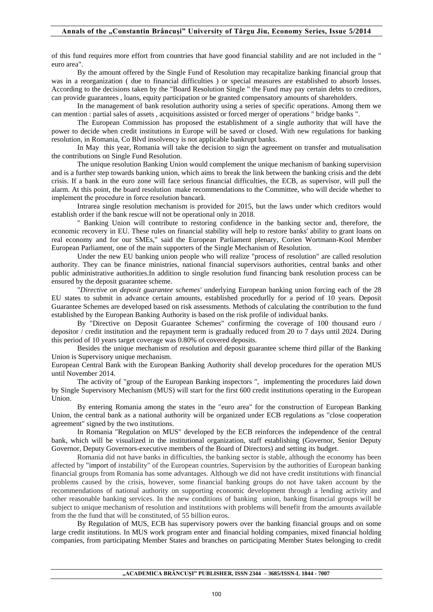of this fund requires more effort from countries that have good financial stability and are not included in the " euro area".

By the amount offered by the Single Fund of Resolution may recapitalize banking financial group that was in a reorganization ( due to financial difficulties ) or special measures are established to absorb losses. According to the decisions taken by the "Board Resolution Single " the Fund may pay certain debts to creditors, can provide guarantees , loans, equity participation or be granted compensatory amounts of shareholders.

In the management of bank resolution authority using a series of specific operations. Among them we can mention : partial sales of assets , acquisitions assisted or forced merger of operations " bridge banks ".

The European Commission has proposed the establishment of a single authority that will have the power to decide when credit institutions in Europe will be saved or closed. With new regulations for banking resolution, in Romania, Co Blvd insolvency is not applicable bankrupt banks.

In May this year, Romania will take the decision to sign the agreement on transfer and mutualisation the contributions on Single Fund Resolution.

The unique resolution Banking Union would complement the unique mechanism of banking supervision and is a further step towards banking union, which aims to break the link between the banking crisis and the debt crisis. If a bank in the euro zone will face serious financial difficulties, the ECB, as supervisor, will pull the alarm. At this point, the board resolution make recommendations to the Committee, who will decide whether to implement the procedure in force resolution bancară.

Intrarea single resolution mechanism is provided for 2015, but the laws under which creditors would establish order if the bank rescue will not be operational only in 2018.

" Banking Union will contribute to restoring confidence in the banking sector and, therefore, the economic recovery in EU. These rules on financial stability will help to restore banks' ability to grant loans on real economy and for our SMEs," said the European Parliament plenary, Corien Wortmann-Kool Member European Parliament, one of the main supporters of the Single Mechanism of Resolution.

Under the new EU banking union people who will realize "process of resolution" are called resolution authority. They can be finance ministries, national financial supervisors authorities, central banks and other public administrative authorities.In addition to single resolution fund financing bank resolution process can be ensured by the deposit guarantee scheme.

"*Directive on deposit guarantee schemes'* underlying European banking union forcing each of the 28 EU states to submit in advance certain amounts, established procedurlly for a period of 10 years. Deposit Guarantee Schemes are developed based on risk assessments. Methods of calculating the contribution to the fund established by the European Banking Authority is based on the risk profile of individual banks.

By "Directive on Deposit Guarantee Schemes" confirming the coverage of 100 thousand euro / depositor / credit institution and the repayment term is gradually reduced from 20 to 7 days until 2024. During this period of 10 years target coverage was 0.80% of covered deposits.

Besides the unique mechanism of resolution and deposit guarantee scheme third pillar of the Banking Union is Supervisory unique mechanism.

European Central Bank with the European Banking Authority shall develop procedures for the operation MUS until November 2014.

The activity of "group of the European Banking inspectors ", implementing the procedures laid down by Single Supervisory Mechanism (MUS) will start for the first 600 credit institutions operating in the European Union.

By entering Romania among the states in the "euro area" for the construction of European Banking Union, the central bank as a national authority will be organized under ECB regulations as "close cooperation agreement" signed by the two institutions.

 In Romania "Regulation on MUS" developed by the ECB reinforces the independence of the central bank, which will be visualized in the institutional organization, staff establishing (Governor, Senior Deputy Governor, Deputy Governors-executive members of the Board of Directors) and setting its budget.

Romania did not have banks in difficulties, the banking sector is stable, although the economy has been affected by "import of instability" of the European countries. Supervision by the authorities of European banking financial groups from Romania has some advantages. Although we did not have credit institutions with financial problems caused by the crisis, however, some financial banking groups do not have taken account by the recommendations of national authority on supporting economic development through a lending activity and other reasonable banking services. In the new conditions of banking union, banking financial groups will be subject to unique mechanism of resolution and institutions with problems will benefit from the amounts available from the the fund that will be constituted, of 55 billion euros.

By Regulation of MUS, ECB has supervisory powers over the banking financial groups and on some large credit institutions. In MUS work program enter and financial holding companies, mixed financial holding companies, from participating Member States and branches on participating Member States belonging to credit